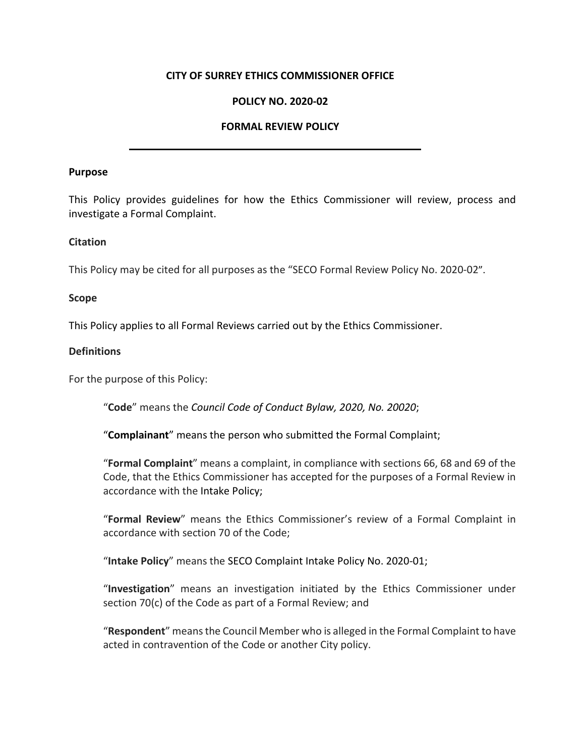## **CITY OF SURREY ETHICS COMMISSIONER OFFICE**

# **POLICY NO. 2020-02**

## **FORMAL REVIEW POLICY**

#### **Purpose**

This Policy provides guidelines for how the Ethics Commissioner will review, process and investigate a Formal Complaint.

#### **Citation**

This Policy may be cited for all purposes as the "SECO Formal Review Policy No. 2020-02".

#### **Scope**

This Policy applies to all Formal Reviews carried out by the Ethics Commissioner.

#### **Definitions**

For the purpose of this Policy:

"**Code**" means the *Council Code of Conduct Bylaw, 2020, No. 20020*;

"**Complainant**" means the person who submitted the Formal Complaint;

"**Formal Complaint**" means a complaint, in compliance with sections 66, 68 and 69 of the Code, that the Ethics Commissioner has accepted for the purposes of a Formal Review in accordance with the Intake Policy;

"**Formal Review**" means the Ethics Commissioner's review of a Formal Complaint in accordance with section 70 of the Code;

"**Intake Policy**" means the SECO Complaint Intake Policy No. 2020-01;

"**Investigation**" means an investigation initiated by the Ethics Commissioner under section 70(c) of the Code as part of a Formal Review; and

"**Respondent**" means the Council Member who is alleged in the Formal Complaint to have acted in contravention of the Code or another City policy.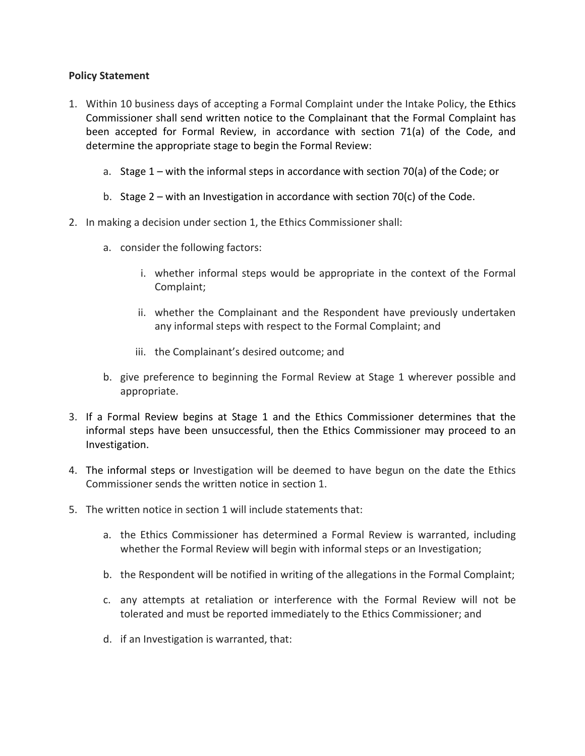# **Policy Statement**

- 1. Within 10 business days of accepting a Formal Complaint under the Intake Policy, the Ethics Commissioner shall send written notice to the Complainant that the Formal Complaint has been accepted for Formal Review, in accordance with section 71(a) of the Code, and determine the appropriate stage to begin the Formal Review:
	- a. Stage 1 with the informal steps in accordance with section 70(a) of the Code; or
	- b. Stage 2 with an Investigation in accordance with section 70(c) of the Code.
- 2. In making a decision under section 1, the Ethics Commissioner shall:
	- a. consider the following factors:
		- i. whether informal steps would be appropriate in the context of the Formal Complaint;
		- ii. whether the Complainant and the Respondent have previously undertaken any informal steps with respect to the Formal Complaint; and
		- iii. the Complainant's desired outcome; and
	- b. give preference to beginning the Formal Review at Stage 1 wherever possible and appropriate.
- 3. If a Formal Review begins at Stage 1 and the Ethics Commissioner determines that the informal steps have been unsuccessful, then the Ethics Commissioner may proceed to an Investigation.
- 4. The informal steps or Investigation will be deemed to have begun on the date the Ethics Commissioner sends the written notice in section 1.
- 5. The written notice in section 1 will include statements that:
	- a. the Ethics Commissioner has determined a Formal Review is warranted, including whether the Formal Review will begin with informal steps or an Investigation;
	- b. the Respondent will be notified in writing of the allegations in the Formal Complaint;
	- c. any attempts at retaliation or interference with the Formal Review will not be tolerated and must be reported immediately to the Ethics Commissioner; and
	- d. if an Investigation is warranted, that: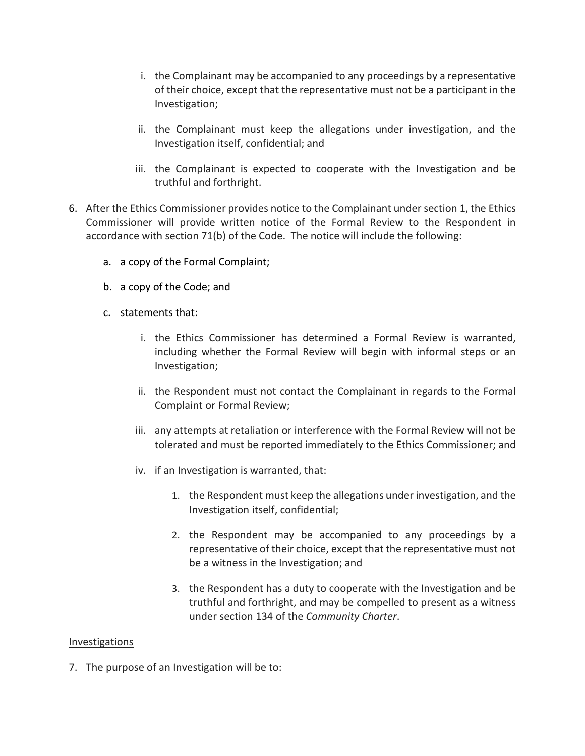- i. the Complainant may be accompanied to any proceedings by a representative of their choice, except that the representative must not be a participant in the Investigation;
- ii. the Complainant must keep the allegations under investigation, and the Investigation itself, confidential; and
- iii. the Complainant is expected to cooperate with the Investigation and be truthful and forthright.
- 6. After the Ethics Commissioner provides notice to the Complainant under section 1, the Ethics Commissioner will provide written notice of the Formal Review to the Respondent in accordance with section 71(b) of the Code. The notice will include the following:
	- a. a copy of the Formal Complaint;
	- b. a copy of the Code; and
	- c. statements that:
		- i. the Ethics Commissioner has determined a Formal Review is warranted, including whether the Formal Review will begin with informal steps or an Investigation;
		- ii. the Respondent must not contact the Complainant in regards to the Formal Complaint or Formal Review;
		- iii. any attempts at retaliation or interference with the Formal Review will not be tolerated and must be reported immediately to the Ethics Commissioner; and
		- iv. if an Investigation is warranted, that:
			- 1. the Respondent must keep the allegations under investigation, and the Investigation itself, confidential;
			- 2. the Respondent may be accompanied to any proceedings by a representative of their choice, except that the representative must not be a witness in the Investigation; and
			- 3. the Respondent has a duty to cooperate with the Investigation and be truthful and forthright, and may be compelled to present as a witness under section 134 of the *Community Charter*.

# Investigations

7. The purpose of an Investigation will be to: